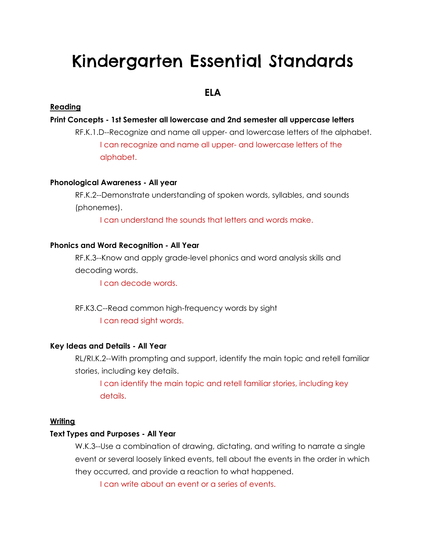# Kindergarten Essential Standards

# **ELA**

# **Reading**

# **Print Concepts - 1st Semester all lowercase and 2nd semester all uppercase letters**

RF.K.1.D--Recognize and name all upper- and lowercase letters of the alphabet. I can recognize and name all upper- and lowercase letters of the alphabet.

# **Phonological Awareness - All year**

RF.K.2--Demonstrate understanding of spoken words, syllables, and sounds (phonemes).

I can understand the sounds that letters and words make.

#### **Phonics and Word Recognition - All Year**

RF.K.3--Know and apply grade-level phonics and word analysis skills and decoding words.

I can decode words.

RF.K3.C--Read common high-frequency words by sight I can read sight words.

#### **Key Ideas and Details - All Year**

RL/RI.K.2--With prompting and support, identify the main topic and retell familiar stories, including key details.

I can identify the main topic and retell familiar stories, including key details.

#### **Writing**

#### **Text Types and Purposes - All Year**

W.K.3--Use a combination of drawing, dictating, and writing to narrate a single event or several loosely linked events, tell about the events in the order in which they occurred, and provide a reaction to what happened.

I can write about an event or a series of events.